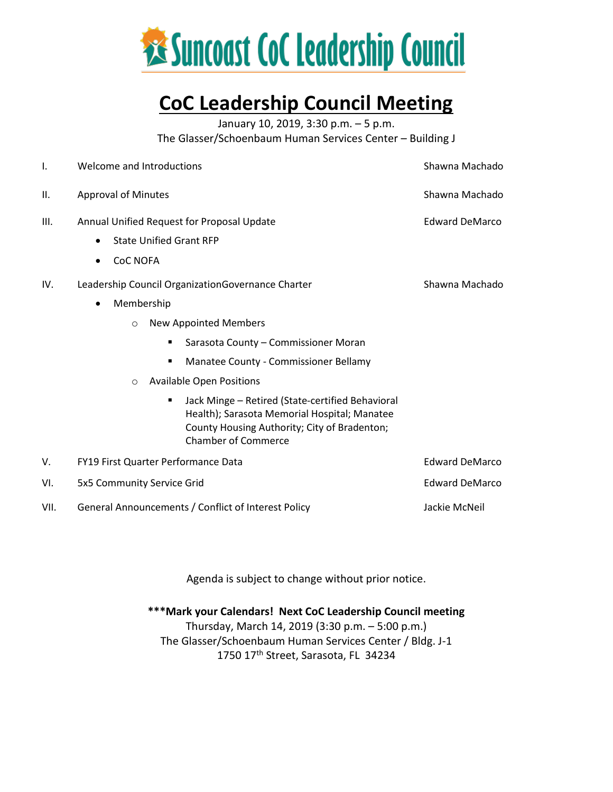

# **CoC Leadership Council Meeting**

January 10, 2019, 3:30 p.m. – 5 p.m.

The Glasser/Schoenbaum Human Services Center – Building J

| 1.   | Welcome and Introductions                                                                                                                                                                                                                                                                                                                                                                                                                                            | Shawna Machado        |
|------|----------------------------------------------------------------------------------------------------------------------------------------------------------------------------------------------------------------------------------------------------------------------------------------------------------------------------------------------------------------------------------------------------------------------------------------------------------------------|-----------------------|
| Ш.   | <b>Approval of Minutes</b>                                                                                                                                                                                                                                                                                                                                                                                                                                           | Shawna Machado        |
| Ш.   | Annual Unified Request for Proposal Update<br><b>Edward DeMarco</b><br><b>State Unified Grant RFP</b><br><b>CoC NOFA</b><br>$\bullet$                                                                                                                                                                                                                                                                                                                                |                       |
| IV.  | Leadership Council OrganizationGovernance Charter<br>Membership<br>$\bullet$<br><b>New Appointed Members</b><br>$\circ$<br>Sarasota County - Commissioner Moran<br>$\blacksquare$<br>Manatee County - Commissioner Bellamy<br>٠<br><b>Available Open Positions</b><br>$\circ$<br>Jack Minge - Retired (State-certified Behavioral<br>٠<br>Health); Sarasota Memorial Hospital; Manatee<br>County Housing Authority; City of Bradenton;<br><b>Chamber of Commerce</b> | Shawna Machado        |
| V.   | <b>FY19 First Quarter Performance Data</b>                                                                                                                                                                                                                                                                                                                                                                                                                           | <b>Edward DeMarco</b> |
| VI.  | 5x5 Community Service Grid                                                                                                                                                                                                                                                                                                                                                                                                                                           | <b>Edward DeMarco</b> |
| VII. | General Announcements / Conflict of Interest Policy                                                                                                                                                                                                                                                                                                                                                                                                                  | Jackie McNeil         |

Agenda is subject to change without prior notice.

**\*\*\*Mark your Calendars! Next CoC Leadership Council meeting** Thursday, March 14, 2019 (3:30 p.m. – 5:00 p.m.) The Glasser/Schoenbaum Human Services Center / Bldg. J-1 1750 17th Street, Sarasota, FL 34234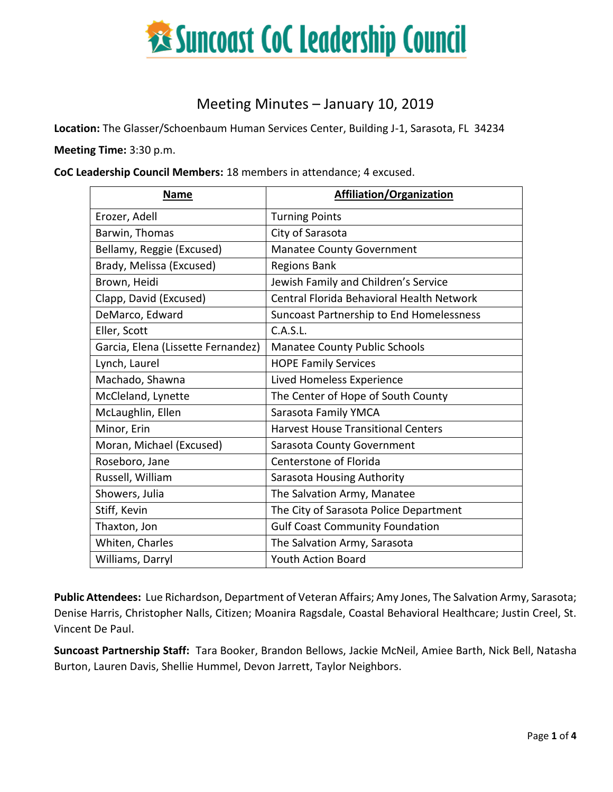

# Meeting Minutes – January 10, 2019

**Location:** The Glasser/Schoenbaum Human Services Center, Building J-1, Sarasota, FL 34234

**Meeting Time:** 3:30 p.m.

**CoC Leadership Council Members:** 18 members in attendance; 4 excused.

| <b>Name</b>                        | <b>Affiliation/Organization</b>           |  |
|------------------------------------|-------------------------------------------|--|
| Erozer, Adell                      | <b>Turning Points</b>                     |  |
| Barwin, Thomas                     | City of Sarasota                          |  |
| Bellamy, Reggie (Excused)          | <b>Manatee County Government</b>          |  |
| Brady, Melissa (Excused)           | <b>Regions Bank</b>                       |  |
| Brown, Heidi                       | Jewish Family and Children's Service      |  |
| Clapp, David (Excused)             | Central Florida Behavioral Health Network |  |
| DeMarco, Edward                    | Suncoast Partnership to End Homelessness  |  |
| Eller, Scott                       | C.A.S.L.                                  |  |
| Garcia, Elena (Lissette Fernandez) | <b>Manatee County Public Schools</b>      |  |
| Lynch, Laurel                      | <b>HOPE Family Services</b>               |  |
| Machado, Shawna                    | Lived Homeless Experience                 |  |
| McCleland, Lynette                 | The Center of Hope of South County        |  |
| McLaughlin, Ellen                  | Sarasota Family YMCA                      |  |
| Minor, Erin                        | <b>Harvest House Transitional Centers</b> |  |
| Moran, Michael (Excused)           | <b>Sarasota County Government</b>         |  |
| Roseboro, Jane                     | Centerstone of Florida                    |  |
| Russell, William                   | Sarasota Housing Authority                |  |
| Showers, Julia                     | The Salvation Army, Manatee               |  |
| Stiff, Kevin                       | The City of Sarasota Police Department    |  |
| Thaxton, Jon                       | <b>Gulf Coast Community Foundation</b>    |  |
| Whiten, Charles                    | The Salvation Army, Sarasota              |  |
| Williams, Darryl                   | <b>Youth Action Board</b>                 |  |

**Public Attendees:** Lue Richardson, Department of Veteran Affairs; Amy Jones, The Salvation Army, Sarasota; Denise Harris, Christopher Nalls, Citizen; Moanira Ragsdale, Coastal Behavioral Healthcare; Justin Creel, St. Vincent De Paul.

**Suncoast Partnership Staff:** Tara Booker, Brandon Bellows, Jackie McNeil, Amiee Barth, Nick Bell, Natasha Burton, Lauren Davis, Shellie Hummel, Devon Jarrett, Taylor Neighbors.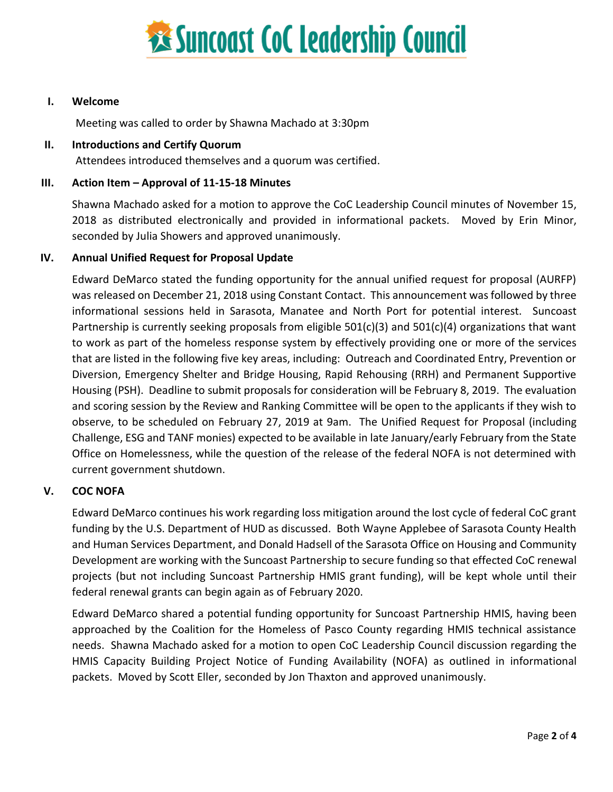

# **I. Welcome**

Meeting was called to order by Shawna Machado at 3:30pm

### **II. Introductions and Certify Quorum**

Attendees introduced themselves and a quorum was certified.

# **III. Action Item – Approval of 11-15-18 Minutes**

Shawna Machado asked for a motion to approve the CoC Leadership Council minutes of November 15, 2018 as distributed electronically and provided in informational packets. Moved by Erin Minor, seconded by Julia Showers and approved unanimously.

# **IV. Annual Unified Request for Proposal Update**

Edward DeMarco stated the funding opportunity for the annual unified request for proposal (AURFP) was released on December 21, 2018 using Constant Contact. This announcement was followed by three informational sessions held in Sarasota, Manatee and North Port for potential interest. Suncoast Partnership is currently seeking proposals from eligible 501(c)(3) and 501(c)(4) organizations that want to work as part of the homeless response system by effectively providing one or more of the services that are listed in the following five key areas, including: Outreach and Coordinated Entry, Prevention or Diversion, Emergency Shelter and Bridge Housing, Rapid Rehousing (RRH) and Permanent Supportive Housing (PSH). Deadline to submit proposals for consideration will be February 8, 2019. The evaluation and scoring session by the Review and Ranking Committee will be open to the applicants if they wish to observe, to be scheduled on February 27, 2019 at 9am. The Unified Request for Proposal (including Challenge, ESG and TANF monies) expected to be available in late January/early February from the State Office on Homelessness, while the question of the release of the federal NOFA is not determined with current government shutdown.

#### **V. COC NOFA**

Edward DeMarco continues his work regarding loss mitigation around the lost cycle of federal CoC grant funding by the U.S. Department of HUD as discussed. Both Wayne Applebee of Sarasota County Health and Human Services Department, and Donald Hadsell of the Sarasota Office on Housing and Community Development are working with the Suncoast Partnership to secure funding so that effected CoC renewal projects (but not including Suncoast Partnership HMIS grant funding), will be kept whole until their federal renewal grants can begin again as of February 2020.

Edward DeMarco shared a potential funding opportunity for Suncoast Partnership HMIS, having been approached by the Coalition for the Homeless of Pasco County regarding HMIS technical assistance needs. Shawna Machado asked for a motion to open CoC Leadership Council discussion regarding the HMIS Capacity Building Project Notice of Funding Availability (NOFA) as outlined in informational packets. Moved by Scott Eller, seconded by Jon Thaxton and approved unanimously.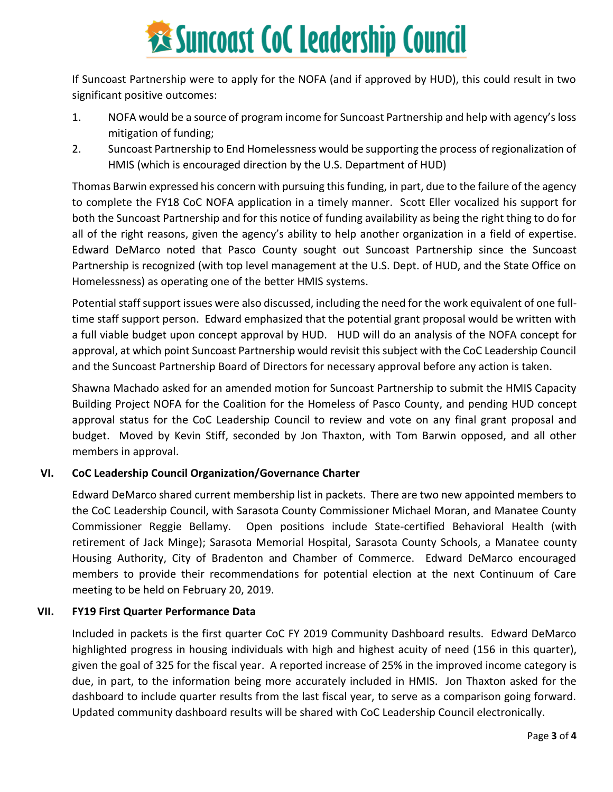# **Executions State Cock Leadership Council**

If Suncoast Partnership were to apply for the NOFA (and if approved by HUD), this could result in two significant positive outcomes:

- 1. NOFA would be a source of program income for Suncoast Partnership and help with agency's loss mitigation of funding;
- 2. Suncoast Partnership to End Homelessness would be supporting the process of regionalization of HMIS (which is encouraged direction by the U.S. Department of HUD)

Thomas Barwin expressed his concern with pursuing this funding, in part, due to the failure of the agency to complete the FY18 CoC NOFA application in a timely manner. Scott Eller vocalized his support for both the Suncoast Partnership and for this notice of funding availability as being the right thing to do for all of the right reasons, given the agency's ability to help another organization in a field of expertise. Edward DeMarco noted that Pasco County sought out Suncoast Partnership since the Suncoast Partnership is recognized (with top level management at the U.S. Dept. of HUD, and the State Office on Homelessness) as operating one of the better HMIS systems.

Potential staff support issues were also discussed, including the need for the work equivalent of one fulltime staff support person. Edward emphasized that the potential grant proposal would be written with a full viable budget upon concept approval by HUD. HUD will do an analysis of the NOFA concept for approval, at which point Suncoast Partnership would revisit this subject with the CoC Leadership Council and the Suncoast Partnership Board of Directors for necessary approval before any action is taken.

Shawna Machado asked for an amended motion for Suncoast Partnership to submit the HMIS Capacity Building Project NOFA for the Coalition for the Homeless of Pasco County, and pending HUD concept approval status for the CoC Leadership Council to review and vote on any final grant proposal and budget. Moved by Kevin Stiff, seconded by Jon Thaxton, with Tom Barwin opposed, and all other members in approval.

# **VI. CoC Leadership Council Organization/Governance Charter**

Edward DeMarco shared current membership list in packets. There are two new appointed members to the CoC Leadership Council, with Sarasota County Commissioner Michael Moran, and Manatee County Commissioner Reggie Bellamy. Open positions include State-certified Behavioral Health (with retirement of Jack Minge); Sarasota Memorial Hospital, Sarasota County Schools, a Manatee county Housing Authority, City of Bradenton and Chamber of Commerce. Edward DeMarco encouraged members to provide their recommendations for potential election at the next Continuum of Care meeting to be held on February 20, 2019.

# **VII. FY19 First Quarter Performance Data**

Included in packets is the first quarter CoC FY 2019 Community Dashboard results. Edward DeMarco highlighted progress in housing individuals with high and highest acuity of need (156 in this quarter), given the goal of 325 for the fiscal year. A reported increase of 25% in the improved income category is due, in part, to the information being more accurately included in HMIS. Jon Thaxton asked for the dashboard to include quarter results from the last fiscal year, to serve as a comparison going forward. Updated community dashboard results will be shared with CoC Leadership Council electronically.